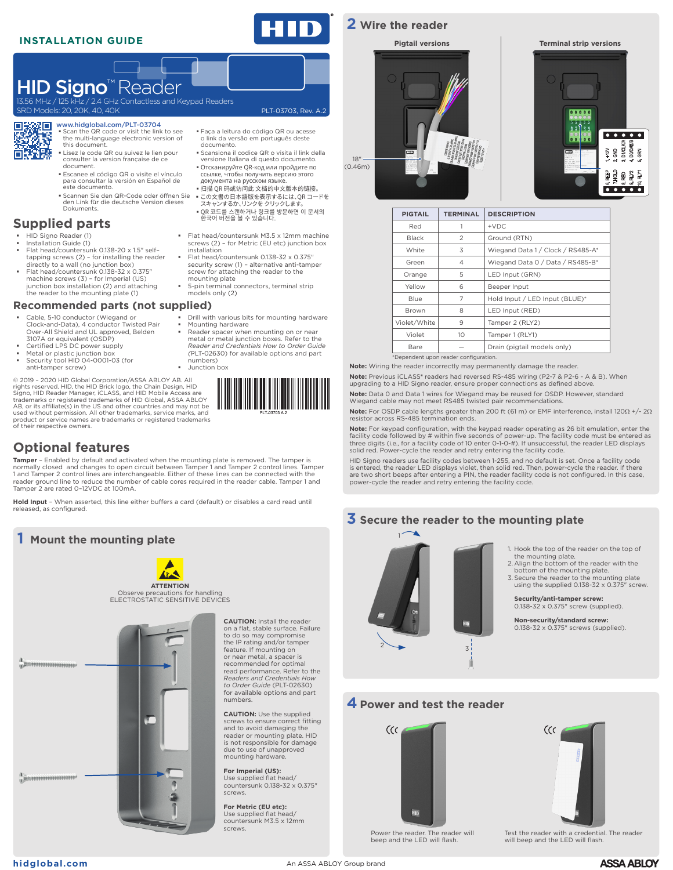### **INSTALLATION GUIDE**

SRD Models: 20, 20K, 40, 40K

PLT-03703, Rev. A.2

# **2 Wire the reader**





| <b>PIGTAIL</b>                        | <b>TERMINAL</b> | <b>DESCRIPTION</b>                |  |
|---------------------------------------|-----------------|-----------------------------------|--|
| Red                                   |                 | $+VDC$                            |  |
| <b>Black</b>                          | $\mathfrak{D}$  | Ground (RTN)                      |  |
| White                                 | 3               | Wiegand Data 1 / Clock / RS485-A* |  |
| Green                                 | 4               | Wiegand Data 0 / Data / RS485-B*  |  |
| Orange                                | 5               | LED Input (GRN)                   |  |
| Yellow                                | 6               | Beeper Input                      |  |
| Blue                                  | 7               | Hold Input / LED Input (BLUE)*    |  |
| Brown                                 | 8               | LED Input (RED)                   |  |
| Violet/White                          | 9               | Tamper 2 (RLY2)                   |  |
| Violet                                | 10              | Tamper 1 (RLY1)                   |  |
| Bare                                  |                 | Drain (pigtail models only)       |  |
| *Dependent upon reader configuration. |                 |                                   |  |

**Note:** Wiring the reader incorrectly may permanently damage the reader.

**Note:** Previous iCLASS**®** readers had reversed RS-485 wiring (P2-7 & P2-6 - A & B). When upgrading to a HID Signo reader, ensure proper connections as defined above.

**Note:** Data 0 and Data 1 wires for Wiegand may be reused for OSDP. However, standard Wiegand cable may not meet RS485 twisted pair recommendations.

**Note:** For OSDP cable lengths greater than 200 ft (61 m) or EMF interference, install 120Ω +/- 2Ω resistor across RS-485 termination ends.

**Note:** For keypad configuration, with the keypad reader operating as 26 bit emulation, enter the facility code followed by # within five seconds of power-up. The facility code must be entered as<br>three digits (i.e., for a facility code of 10 enter 0-1-0-#). If unsuccessful, the reader LED displays<br>solid red. Power-cycl

HID Signo readers use facility codes between 1-255, and no default is set. Once a facility code is entered, the reader LED displays violet, then solid red. Then, power-cycle the reader. If there<br>are two short beeps after entering a PIN, the reader facility code is not configured. In this case,<br>power-cycle the reader





### **4Power and test the reader**





Power the reader. The reader will beep and the LED will flash.





Test the reader with a credential. The reader will beep and the LED will flash.

#### 深阳 www.hidglobal.com/PLT-03704 潺 Scan the QR code or visit the link to see the multi-language electronic version of this document.

HID Signo<sup>™</sup> Reader

 Lisez le code QR ou suivez le lien pour consulter la version française de ce document.

5Hz Contactless and Keypad Readers

- Escanee el código QR o visite el vínculo para consultar la versión en Español de este documento.
- Scannen Sie den QR-Code oder öffnen Sie den Link für die deutsche Version dieses Dokuments.

# **Supplied parts**

- HID Signo Reader (1) Installation Guide (1)
- Flat head/countersunk 0.138-20 x 1.5" self– tapping screws (2) for installing the reader directly to a wall (no junction box)
- Flat head/countersunk 0.138-32 x 0.375" machine screws (3) for Imperial (US) junction box installation (2) and attaching the reader to the mounting plate (1)

#### **Recommended parts (not supplied)**

- Cable, 5-10 conductor (Wiegand or Clock-and-Data), 4 conductor Twisted Pair
- 
- 
- anti-tamper screw)

rights reserved. HID, the HID Brick logo, the Chain Design, HID<br>Signo, HID Reader Manager, iCLASS, and HID Mobile Access are<br>trademarks or registered trademarks of HID Global, ASSA ABLOY<br>AB, or its affiliate(s) in the US a used without permission. All other trademarks, service marks, and



Mounting hardware

numbers) Junction box

# **Optional features**

**Tamper** – Enabled by default and activated when the mounting plate is removed. The tamper is<br>normally closed and changes to open circuit between Tamper 1 and Tamper 2 control lines. Tamper 1 and Tamper 2 control lines are interchangeable. Either of these lines can be connected with the reader ground line to reduce the number of cable cores required in the reader cable. Tamper 1 and Tamper 2 are rated 0–12VDC at 100mA.

**Hold Input** – When asserted, this line either buffers a card (default) or disables a card read until released, as configured.

## **1 Mount the mounting plate**



,,,,,,,,,,,,,,,,,,,,,,,, **Administration** 

 Faça a leitura do código QR ou acesse o link da versão em português deste documento.

- Scansiona il codice QR o visita il link della versione Italiana di questo documento.
- Отсканируйте QR-код или пройдите по ссылке, чтобы получить версию этого документа на русском языке.
- 扫描 QR 码或访问此 文档的中文版本的链接。
- この文書の日本語版を表示するには、QR コードを スキャンするか、リンクをクリックします。 QR 코드를 스캔하거나 링크를 방문하면 이 문서의 한국어 버전을 볼 수 있습니다.
- Flat head/countersunk M3.5 x 12mm machine screws (2) – for Metric (EU etc) junction box installation
- Flat head/countersunk 0.138-32 x 0.375" security screw (1) – alternative anti-tamper screw for attaching the reader to the mounting plate
- 5-pin terminal connectors, terminal strip models only (2)

 Reader spacer when mounting on or near metal or metal junction boxes. Refer to the *Reader and Credentials How to Order Guide* 

# Drill with various bits for mounting hardware

- Over-All Shield and UL approved, Belden 3107A or equivalent (OSDP) Certified LPS DC power supply
- 
- Metal or plastic junction box Security tool HID 04-0001-03 (for

© 2019 – 2020 HID Global Corporation/ASSA ABLOY AB. All product or service names are trademarks or registered trademarks of their respective owners.

**CAUTION:** Install the reader on a flat, stable surface. Failure to do so may compromise the IP rating and/or tamper feature. If mounting on or near metal, a spacer is recommended for optimal read performance. Refer to the *Readers and Credentials How to Order Guide* (PLT-02630) for available options and part

**CAUTION:** Use the supplied screws to ensure correct fitting and to avoid damaging the reader or mounting plate. HID is not responsible for damage due to use of unapproved mounting hardware. **For Imperial (US):** Use supplied flat head/ countersunk 0.138-32 x 0.375"

numbers.

screws.

screws.

**For Metric (EU etc):** Use supplied flat head/ countersunk M3.5 x 12mm

**[hidglobal.com](https://www.hidglobal.com)** An ASSA ABLOY Group brand

**ASSA ABLOY** 

# using the supplied 0.138-32 x 0.375" screw.

**Security/anti-tamper screw:** 0.138-32 x 0.375" screw (supplied).

the mounting plate.

**Non-security/standard screw:** 0.138-32 x 0.375" screws (supplied).

1. Hook the top of the reader on the top of

2. Align the bottom of the reader with the bottom of the mounting plate. 3. Secure the reader to the mounting plate